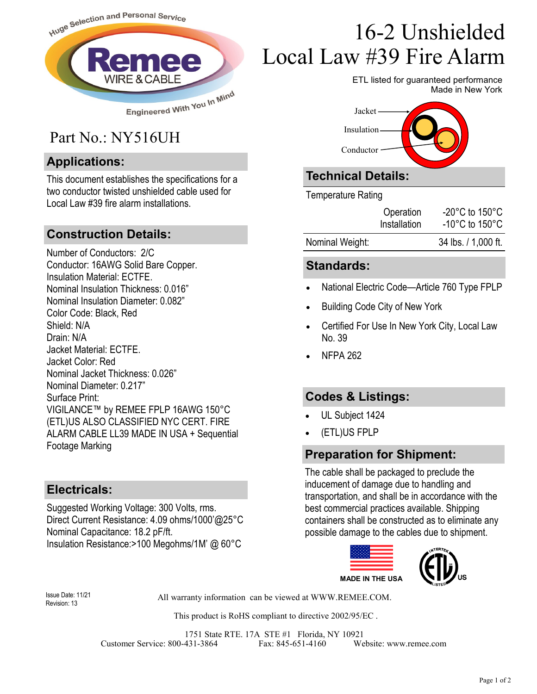

## Part No.: NY516UH

#### **Applications:**

This document establishes the specifications for a two conductor twisted unshielded cable used for Local Law #39 fire alarm installations.

#### **Construction Details:**

Number of Conductors: 2/C Conductor: 16AWG Solid Bare Copper. Insulation Material: ECTFE. Nominal Insulation Thickness: 0.016" Nominal Insulation Diameter: 0.082" Color Code: Black, Red Shield: N/A Drain: N/A Jacket Material: ECTFE. Jacket Color: Red Nominal Jacket Thickness: 0.026" Nominal Diameter: 0.217" Surface Print: VIGILANCE™ by REMEE FPLP 16AWG 150°C (ETL)US ALSO CLASSIFIED NYC CERT. FIRE ALARM CABLE LL39 MADE IN USA + Sequential Footage Marking

#### **Electricals:**

Suggested Working Voltage: 300 Volts, rms. Direct Current Resistance: 4.09 ohms/1000'@25°C Nominal Capacitance: 18.2 pF/ft. Insulation Resistance:>100 Megohms/1M' @ 60°C

# 16-2 Unshielded Local Law #39 Fire Alarm

ETL listed for guaranteed performance Made in New York



### **Technical Details:**

Temperature Rating

|                 | Operation<br>Installation | $-20^{\circ}$ C to 150 $^{\circ}$ C<br>$-10^{\circ}$ C to 150 $^{\circ}$ C |
|-----------------|---------------------------|----------------------------------------------------------------------------|
| Nominal Weight: |                           | 34 lbs. / 1,000 ft.                                                        |

#### **Standards:**

- National Electric Code—Article 760 Type FPLP
- Building Code City of New York
- Certified For Use In New York City, Local Law No. 39
- NFPA 262

#### **Codes & Listings:**

- UL Subject 1424
- (ETL)US FPLP

#### **Preparation for Shipment:**

The cable shall be packaged to preclude the inducement of damage due to handling and transportation, and shall be in accordance with the best commercial practices available. Shipping containers shall be constructed as to eliminate any possible damage to the cables due to shipment.



Revision: 13

All warranty information can be viewed at WWW.REMEE.COM. Issue Date: 11/21

This product is RoHS compliant to directive 2002/95/EC .

1751 State RTE. 17A STE #1 Florida, NY 10921 Customer Service: 800-431-3864 Fax: 845-651-4160 Website: www.remee.com